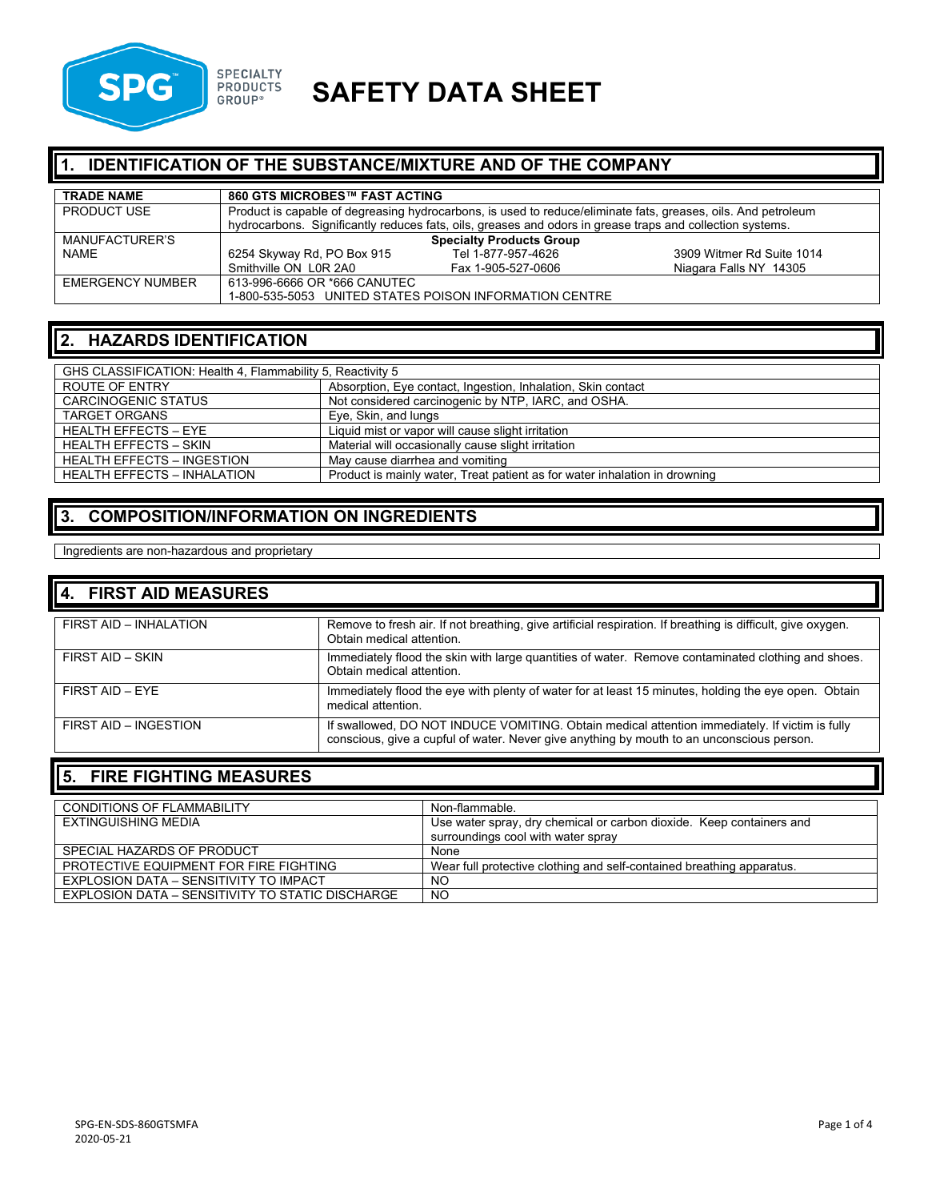

# **SPG SPECIALTY SAFETY DATA SHEET**

## **1. IDENTIFICATION OF THE SUBSTANCE/MIXTURE AND OF THE COMPANY**

| <b>TRADE NAME</b>       | 860 GTS MICROBES™ FAST ACTING                                                                                 |                                                                                                           |                           |
|-------------------------|---------------------------------------------------------------------------------------------------------------|-----------------------------------------------------------------------------------------------------------|---------------------------|
| <b>PRODUCT USE</b>      | Product is capable of degreasing hydrocarbons, is used to reduce/eliminate fats, greases, oils. And petroleum |                                                                                                           |                           |
|                         |                                                                                                               | hydrocarbons. Significantly reduces fats, oils, greases and odors in grease traps and collection systems. |                           |
| MANUFACTURER'S          |                                                                                                               | <b>Specialty Products Group</b>                                                                           |                           |
| <b>NAME</b>             | 6254 Skyway Rd, PO Box 915                                                                                    | Tel 1-877-957-4626                                                                                        | 3909 Witmer Rd Suite 1014 |
|                         | Smithville ON L0R 2A0                                                                                         | Fax 1-905-527-0606                                                                                        | Niagara Falls NY 14305    |
| <b>EMERGENCY NUMBER</b> | 613-996-6666 OR *666 CANUTEC                                                                                  |                                                                                                           |                           |
|                         |                                                                                                               | 1-800-535-5053 UNITED STATES POISON INFORMATION CENTRE                                                    |                           |

### **2. HAZARDS IDENTIFICATION**

| GHS CLASSIFICATION: Health 4, Flammability 5, Reactivity 5 |                                                                            |  |
|------------------------------------------------------------|----------------------------------------------------------------------------|--|
| ROUTE OF ENTRY                                             | Absorption, Eye contact, Ingestion, Inhalation, Skin contact               |  |
| <b>CARCINOGENIC STATUS</b>                                 | Not considered carcinogenic by NTP, IARC, and OSHA.                        |  |
| <b>TARGET ORGANS</b>                                       | Eye, Skin, and lungs                                                       |  |
| <b>HEALTH EFFECTS - EYE</b>                                | Liquid mist or vapor will cause slight irritation                          |  |
| <b>HEALTH EFFECTS - SKIN</b>                               | Material will occasionally cause slight irritation                         |  |
| <b>HEALTH EFFECTS - INGESTION</b>                          | May cause diarrhea and vomiting                                            |  |
| <b>HEALTH EFFECTS - INHALATION</b>                         | Product is mainly water, Treat patient as for water inhalation in drowning |  |

#### **3. COMPOSITION/INFORMATION ON INGREDIENTS**

Ingredients are non-hazardous and proprietary

| 4. FIRST AID MEASURES  |                                                                                                                                                                                             |
|------------------------|---------------------------------------------------------------------------------------------------------------------------------------------------------------------------------------------|
| FIRST AID - INHALATION | Remove to fresh air. If not breathing, give artificial respiration. If breathing is difficult, give oxygen.<br>Obtain medical attention.                                                    |
| FIRST AID - SKIN       | Immediately flood the skin with large quantities of water. Remove contaminated clothing and shoes.<br>Obtain medical attention.                                                             |
| FIRST AID - EYE        | Immediately flood the eye with plenty of water for at least 15 minutes, holding the eye open. Obtain<br>medical attention.                                                                  |
| FIRST AID - INGESTION  | If swallowed, DO NOT INDUCE VOMITING. Obtain medical attention immediately. If victim is fully<br>conscious, give a cupful of water. Never give anything by mouth to an unconscious person. |

### **5. FIRE FIGHTING MEASURES**

| <b>CONDITIONS OF FLAMMABILITY</b>                | Non-flammable.                                                        |
|--------------------------------------------------|-----------------------------------------------------------------------|
| EXTINGUISHING MEDIA                              | Use water spray, dry chemical or carbon dioxide. Keep containers and  |
|                                                  | surroundings cool with water spray                                    |
| SPECIAL HAZARDS OF PRODUCT                       | None                                                                  |
| PROTECTIVE EQUIPMENT FOR FIRE FIGHTING           | Wear full protective clothing and self-contained breathing apparatus. |
| EXPLOSION DATA - SENSITIVITY TO IMPACT           | NO.                                                                   |
| EXPLOSION DATA – SENSITIVITY TO STATIC DISCHARGE | <b>NO</b>                                                             |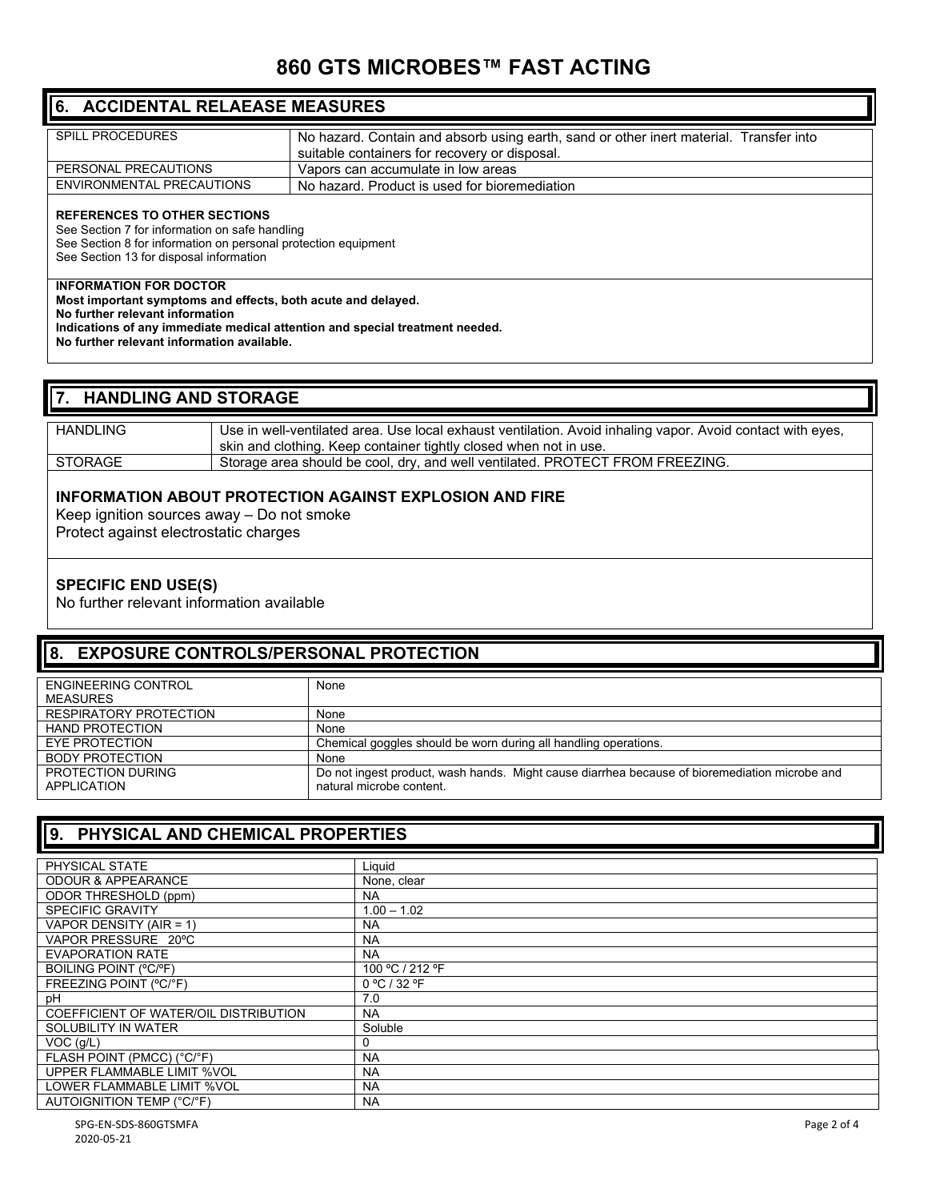# **860 GTS MICROBES™ FAST ACTING**

| 6. ACCIDENTAL RELAEASE MEASURES                                                                                                                                                                                                                                |                                                                                                                                         |  |
|----------------------------------------------------------------------------------------------------------------------------------------------------------------------------------------------------------------------------------------------------------------|-----------------------------------------------------------------------------------------------------------------------------------------|--|
| <b>SPILL PROCEDURES</b>                                                                                                                                                                                                                                        | No hazard. Contain and absorb using earth, sand or other inert material. Transfer into<br>suitable containers for recovery or disposal. |  |
| PERSONAL PRECAUTIONS                                                                                                                                                                                                                                           | Vapors can accumulate in low areas                                                                                                      |  |
| ENVIRONMENTAL PRECAUTIONS                                                                                                                                                                                                                                      | No hazard. Product is used for bioremediation                                                                                           |  |
| <b>REFERENCES TO OTHER SECTIONS</b><br>See Section 7 for information on safe handling<br>See Section 8 for information on personal protection equipment<br>See Section 13 for disposal information                                                             |                                                                                                                                         |  |
| <b>INFORMATION FOR DOCTOR</b><br>Most important symptoms and effects, both acute and delayed.<br>No further relevant information<br>Indications of any immediate medical attention and special treatment needed.<br>No further relevant information available. |                                                                                                                                         |  |

#### **7. HANDLING AND STORAGE**

| HANDLING | Use in well-ventilated area. Use local exhaust ventilation. Avoid inhaling vapor. Avoid contact with eyes, |
|----------|------------------------------------------------------------------------------------------------------------|
|          | skin and clothing. Keep container tightly closed when not in use.                                          |
| STORAGE  | Storage area should be cool, dry, and well ventilated. PROTECT FROM FREEZING.                              |

#### **INFORMATION ABOUT PROTECTION AGAINST EXPLOSION AND FIRE**

Keep ignition sources away – Do not smoke Protect against electrostatic charges

#### **SPECIFIC END USE(S)**

No further relevant information available

#### **8. EXPOSURE CONTROLS/PERSONAL PROTECTION**

| ENGINEERING CONTROL           | None                                                                                          |
|-------------------------------|-----------------------------------------------------------------------------------------------|
| <b>MEASURES</b>               |                                                                                               |
| <b>RESPIRATORY PROTECTION</b> | None                                                                                          |
| <b>HAND PROTECTION</b>        | None                                                                                          |
| EYE PROTECTION                | Chemical goggles should be worn during all handling operations.                               |
| <b>BODY PROTECTION</b>        | None                                                                                          |
| PROTECTION DURING             | Do not ingest product, wash hands. Might cause diarrhea because of bioremediation microbe and |
| <b>APPLICATION</b>            | natural microbe content                                                                       |
|                               |                                                                                               |

#### **9. PHYSICAL AND CHEMICAL PROPERTIES**

| PHYSICAL STATE                        | Liquid          |
|---------------------------------------|-----------------|
| <b>ODOUR &amp; APPEARANCE</b>         | None, clear     |
| ODOR THRESHOLD (ppm)                  | <b>NA</b>       |
| <b>SPECIFIC GRAVITY</b>               | $1.00 - 1.02$   |
| VAPOR DENSITY (AIR = 1)               | <b>NA</b>       |
| VAPOR PRESSURE 20°C                   | <b>NA</b>       |
| <b>EVAPORATION RATE</b>               | <b>NA</b>       |
| <b>BOILING POINT (°C/°F)</b>          | 100 °C / 212 °F |
| FREEZING POINT (°C/°F)                | 0 °C / 32 °F    |
| рH                                    | 7.0             |
| COEFFICIENT OF WATER/OIL DISTRIBUTION | <b>NA</b>       |
| SOLUBILITY IN WATER                   | Soluble         |
| $VOC$ ( $g/L$ )                       |                 |
| FLASH POINT (PMCC) (°C/°F)            | <b>NA</b>       |
| UPPER FLAMMABLE LIMIT %VOL            | <b>NA</b>       |
| LOWER FLAMMABLE LIMIT %VOL            | <b>NA</b>       |
| AUTOIGNITION TEMP (°C/°F)             | <b>NA</b>       |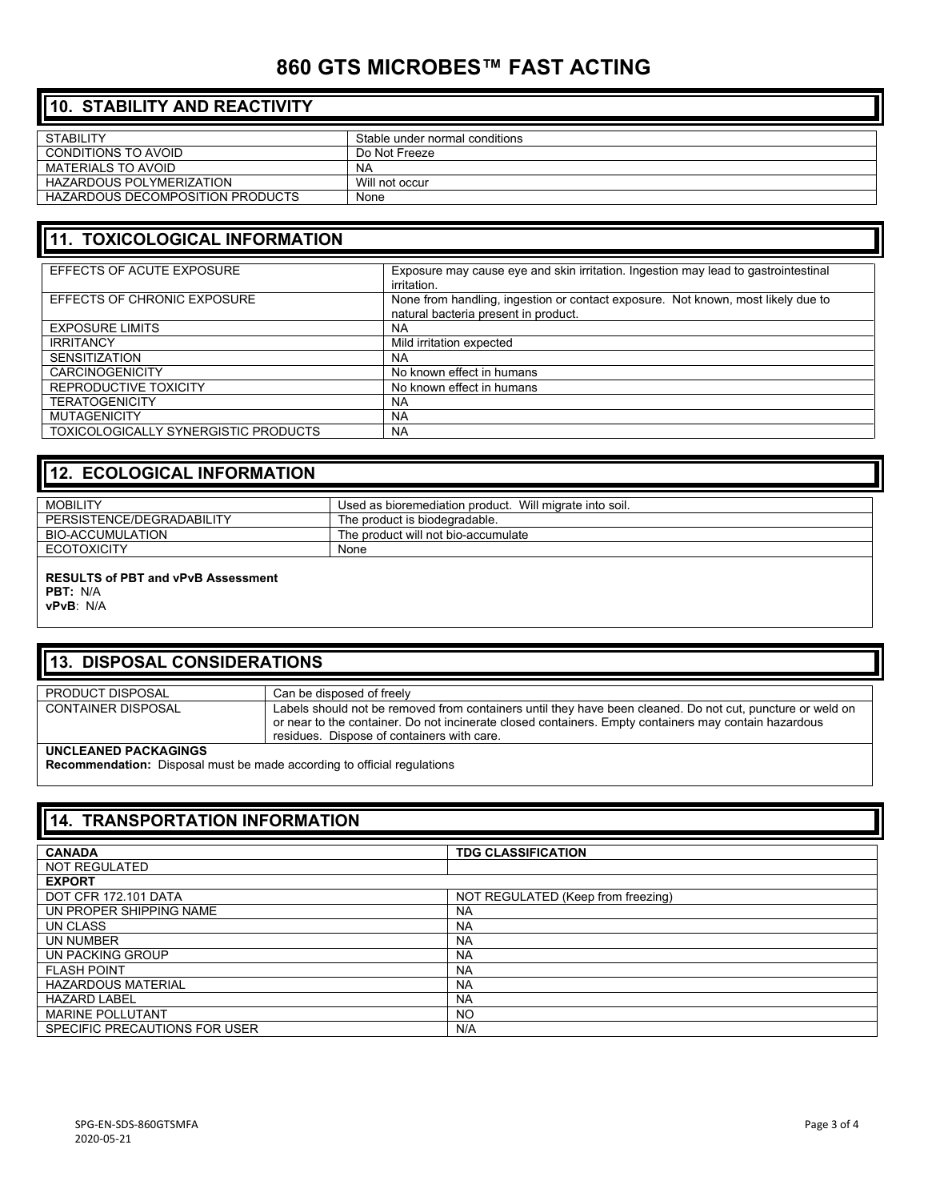# **860 GTS MICROBES™ FAST ACTING**

| <b>110. STABILITY AND REACTIVITY</b>    |                                |  |
|-----------------------------------------|--------------------------------|--|
| <b>STABILITY</b>                        | Stable under normal conditions |  |
| CONDITIONS TO AVOID                     | Do Not Freeze                  |  |
| MATERIALS TO AVOID                      | <b>NA</b>                      |  |
| <b>HAZARDOUS POLYMERIZATION</b>         | Will not occur                 |  |
| <b>HAZARDOUS DECOMPOSITION PRODUCTS</b> | None                           |  |

## **11. TOXICOLOGICAL INFORMATION**

| EFFECTS OF ACUTE EXPOSURE                   | Exposure may cause eye and skin irritation. Ingestion may lead to gastrointestinal<br>irritation.                        |
|---------------------------------------------|--------------------------------------------------------------------------------------------------------------------------|
| EFFECTS OF CHRONIC EXPOSURE                 | None from handling, ingestion or contact exposure. Not known, most likely due to<br>natural bacteria present in product. |
| <b>EXPOSURE LIMITS</b>                      | <b>NA</b>                                                                                                                |
| <b>IRRITANCY</b>                            | Mild irritation expected                                                                                                 |
| <b>SENSITIZATION</b>                        | <b>NA</b>                                                                                                                |
| <b>CARCINOGENICITY</b>                      | No known effect in humans                                                                                                |
| REPRODUCTIVE TOXICITY                       | No known effect in humans                                                                                                |
| <b>TERATOGENICITY</b>                       | <b>NA</b>                                                                                                                |
| <b>MUTAGENICITY</b>                         | <b>NA</b>                                                                                                                |
| <b>TOXICOLOGICALLY SYNERGISTIC PRODUCTS</b> | <b>NA</b>                                                                                                                |

| 12. ECOLOGICAL INFORMATION |                                                         |  |
|----------------------------|---------------------------------------------------------|--|
| <b>MOBILITY</b>            | Used as bioremediation product. Will migrate into soil. |  |
| PERSISTENCE/DEGRADABILITY  | The product is biodegradable.                           |  |
| BIO-ACCUMULATION           | The product will not bio-accumulate                     |  |
| <b>ECOTOXICITY</b>         | None                                                    |  |
|                            |                                                         |  |

#### **RESULTS of PBT and vPvB Assessment PBT:** N/A

**vPvB**: N/A

## **13. DISPOSAL CONSIDERATIONS**

| <b>PRODUCT DISPOSAL</b>   | Can be disposed of freely                                                                                                                                                                                                                                         |
|---------------------------|-------------------------------------------------------------------------------------------------------------------------------------------------------------------------------------------------------------------------------------------------------------------|
| <b>CONTAINER DISPOSAL</b> | Labels should not be removed from containers until they have been cleaned. Do not cut, puncture or weld on<br>or near to the container. Do not incinerate closed containers. Empty containers may contain hazardous<br>residues. Dispose of containers with care. |
| UNCLEANED PACKAGINGS      |                                                                                                                                                                                                                                                                   |

**Recommendation:** Disposal must be made according to official regulations

| 14. TRANSPORTATION INFORMATION |                                    |
|--------------------------------|------------------------------------|
| <b>CANADA</b>                  | <b>TDG CLASSIFICATION</b>          |
| <b>NOT REGULATED</b>           |                                    |
| <b>EXPORT</b>                  |                                    |
| DOT CFR 172.101 DATA           | NOT REGULATED (Keep from freezing) |
| UN PROPER SHIPPING NAME        | <b>NA</b>                          |
| UN CLASS                       | <b>NA</b>                          |
| UN NUMBER                      | <b>NA</b>                          |
| UN PACKING GROUP               | <b>NA</b>                          |
| <b>FLASH POINT</b>             | <b>NA</b>                          |
| <b>HAZARDOUS MATERIAL</b>      | <b>NA</b>                          |
| <b>HAZARD LABEL</b>            | <b>NA</b>                          |
| <b>MARINE POLLUTANT</b>        | NO.                                |
| SPECIFIC PRECAUTIONS FOR USER  | N/A                                |